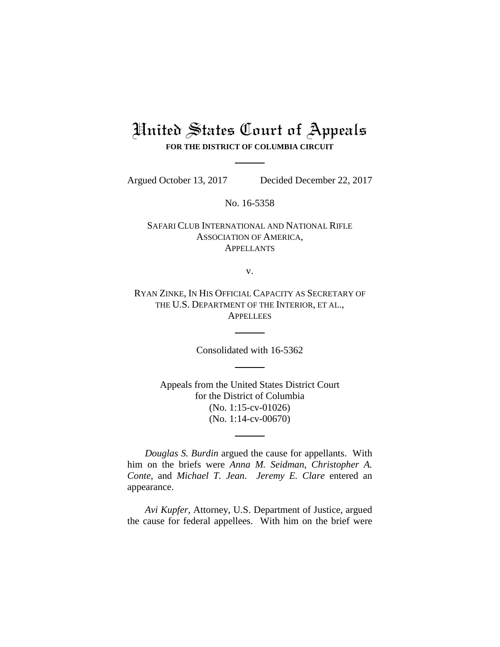# United States Court of Appeals **FOR THE DISTRICT OF COLUMBIA CIRCUIT**

Argued October 13, 2017 Decided December 22, 2017

No. 16-5358

SAFARI CLUB INTERNATIONAL AND NATIONAL RIFLE ASSOCIATION OF AMERICA, **APPELLANTS** 

v.

RYAN ZINKE, IN HIS OFFICIAL CAPACITY AS SECRETARY OF THE U.S. DEPARTMENT OF THE INTERIOR, ET AL., **APPELLEES** 

Consolidated with 16-5362

Appeals from the United States District Court for the District of Columbia (No. 1:15-cv-01026) (No. 1:14-cv-00670)

*Douglas S. Burdin* argued the cause for appellants. With him on the briefs were *Anna M. Seidman*, *Christopher A. Conte*, and *Michael T. Jean*. *Jeremy E. Clare* entered an appearance.

*Avi Kupfer*, Attorney, U.S. Department of Justice, argued the cause for federal appellees. With him on the brief were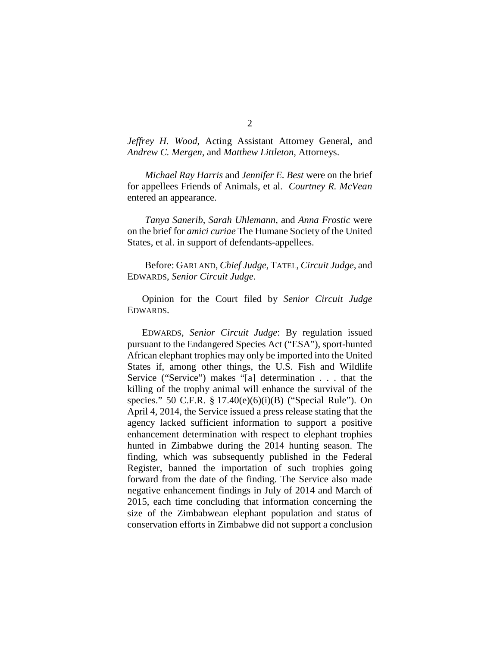*Jeffrey H. Wood*, Acting Assistant Attorney General, and *Andrew C. Mergen*, and *Matthew Littleton*, Attorneys.

*Michael Ray Harris* and *Jennifer E. Best* were on the brief for appellees Friends of Animals, et al. *Courtney R. McVean*  entered an appearance.

*Tanya Sanerib*, *Sarah Uhlemann*, and *Anna Frostic* were on the brief for *amici curiae* The Humane Society of the United States, et al. in support of defendants-appellees.

Before: GARLAND, *Chief Judge*, TATEL, *Circuit Judge*, and EDWARDS, *Senior Circuit Judge*.

Opinion for the Court filed by *Senior Circuit Judge* EDWARDS.

EDWARDS, *Senior Circuit Judge*: By regulation issued pursuant to the Endangered Species Act ("ESA"), sport-hunted African elephant trophies may only be imported into the United States if, among other things, the U.S. Fish and Wildlife Service ("Service") makes "[a] determination . . . that the killing of the trophy animal will enhance the survival of the species." 50 C.F.R. § 17.40(e)(6)(i)(B) ("Special Rule"). On April 4, 2014, the Service issued a press release stating that the agency lacked sufficient information to support a positive enhancement determination with respect to elephant trophies hunted in Zimbabwe during the 2014 hunting season. The finding, which was subsequently published in the Federal Register, banned the importation of such trophies going forward from the date of the finding. The Service also made negative enhancement findings in July of 2014 and March of 2015, each time concluding that information concerning the size of the Zimbabwean elephant population and status of conservation efforts in Zimbabwe did not support a conclusion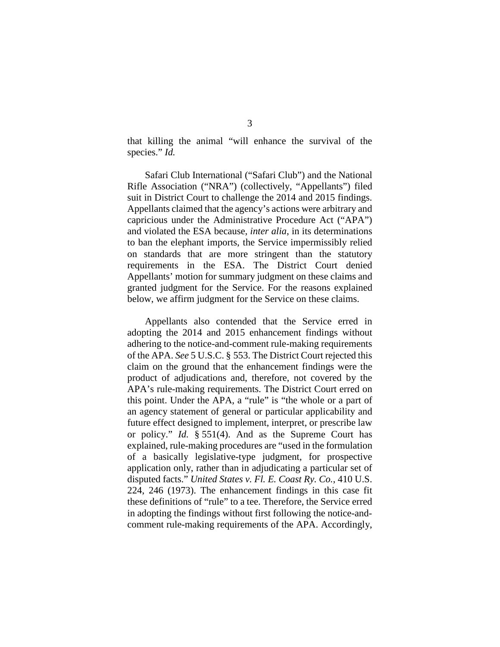that killing the animal "will enhance the survival of the species." *Id.*

Safari Club International ("Safari Club") and the National Rifle Association ("NRA") (collectively, "Appellants") filed suit in District Court to challenge the 2014 and 2015 findings. Appellants claimed that the agency's actions were arbitrary and capricious under the Administrative Procedure Act ("APA") and violated the ESA because, *inter alia*, in its determinations to ban the elephant imports, the Service impermissibly relied on standards that are more stringent than the statutory requirements in the ESA. The District Court denied Appellants' motion for summary judgment on these claims and granted judgment for the Service. For the reasons explained below, we affirm judgment for the Service on these claims.

Appellants also contended that the Service erred in adopting the 2014 and 2015 enhancement findings without adhering to the notice-and-comment rule-making requirements of the APA. *See* 5 U.S.C. § 553. The District Court rejected this claim on the ground that the enhancement findings were the product of adjudications and, therefore, not covered by the APA's rule-making requirements. The District Court erred on this point. Under the APA, a "rule" is "the whole or a part of an agency statement of general or particular applicability and future effect designed to implement, interpret, or prescribe law or policy." *Id.* § 551(4). And as the Supreme Court has explained, rule-making procedures are "used in the formulation of a basically legislative-type judgment, for prospective application only, rather than in adjudicating a particular set of disputed facts." *United States v. Fl. E. Coast Ry. Co.*, 410 U.S. 224, 246 (1973). The enhancement findings in this case fit these definitions of "rule" to a tee. Therefore, the Service erred in adopting the findings without first following the notice-andcomment rule-making requirements of the APA. Accordingly,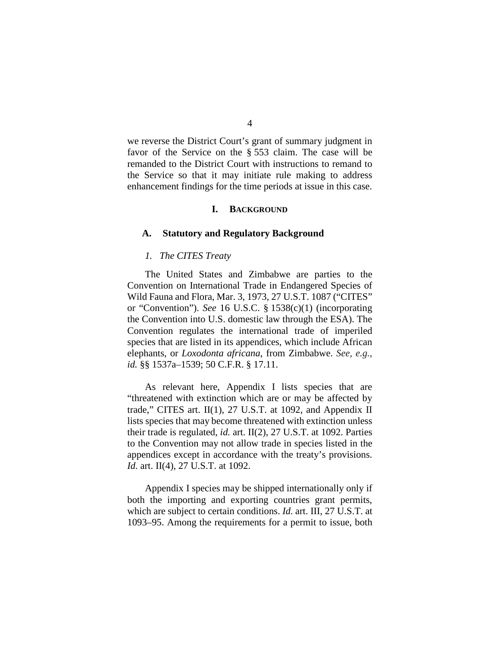we reverse the District Court's grant of summary judgment in favor of the Service on the § 553 claim. The case will be remanded to the District Court with instructions to remand to the Service so that it may initiate rule making to address enhancement findings for the time periods at issue in this case.

#### **I. BACKGROUND**

### **A. Statutory and Regulatory Background**

#### *1. The CITES Treaty*

The United States and Zimbabwe are parties to the Convention on International Trade in Endangered Species of Wild Fauna and Flora, Mar. 3, 1973, 27 U.S.T. 1087 ("CITES" or "Convention"). *See* 16 U.S.C. § 1538(c)(1) (incorporating the Convention into U.S. domestic law through the ESA). The Convention regulates the international trade of imperiled species that are listed in its appendices, which include African elephants, or *Loxodonta africana*, from Zimbabwe. *See, e.g.*, *id.* §§ 1537a–1539; 50 C.F.R. § 17.11.

As relevant here, Appendix I lists species that are "threatened with extinction which are or may be affected by trade," CITES art. II(1), 27 U.S.T. at 1092, and Appendix II lists species that may become threatened with extinction unless their trade is regulated, *id.* art. II(2), 27 U.S.T. at 1092. Parties to the Convention may not allow trade in species listed in the appendices except in accordance with the treaty's provisions. *Id.* art. II(4), 27 U.S.T. at 1092.

Appendix I species may be shipped internationally only if both the importing and exporting countries grant permits, which are subject to certain conditions. *Id.* art. III, 27 U.S.T. at 1093–95. Among the requirements for a permit to issue, both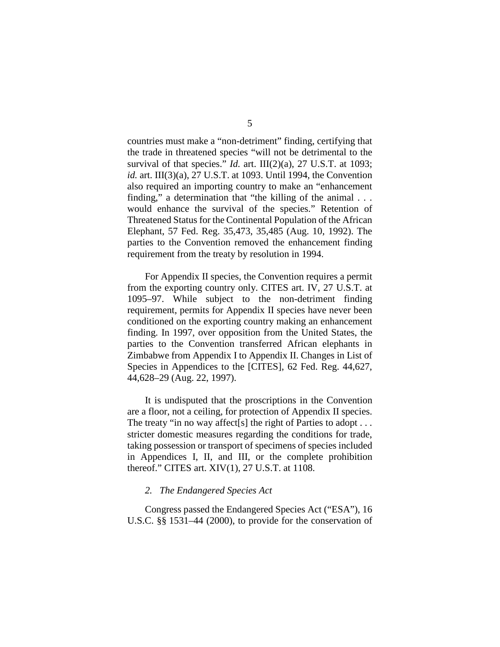countries must make a "non-detriment" finding, certifying that the trade in threatened species "will not be detrimental to the survival of that species." *Id.* art. III(2)(a), 27 U.S.T. at 1093; *id.* art. III(3)(a), 27 U.S.T. at 1093. Until 1994, the Convention also required an importing country to make an "enhancement finding," a determination that "the killing of the animal . . . would enhance the survival of the species." Retention of Threatened Status for the Continental Population of the African Elephant, 57 Fed. Reg. 35,473, 35,485 (Aug. 10, 1992). The parties to the Convention removed the enhancement finding requirement from the treaty by resolution in 1994.

For Appendix II species, the Convention requires a permit from the exporting country only. CITES art. IV, 27 U.S.T. at 1095–97. While subject to the non-detriment finding requirement, permits for Appendix II species have never been conditioned on the exporting country making an enhancement finding. In 1997, over opposition from the United States, the parties to the Convention transferred African elephants in Zimbabwe from Appendix I to Appendix II. Changes in List of Species in Appendices to the [CITES], 62 Fed. Reg. 44,627, 44,628–29 (Aug. 22, 1997).

It is undisputed that the proscriptions in the Convention are a floor, not a ceiling, for protection of Appendix II species. The treaty "in no way affect [s] the right of Parties to adopt . . . stricter domestic measures regarding the conditions for trade, taking possession or transport of specimens of species included in Appendices I, II, and III, or the complete prohibition thereof." CITES art. XIV(1), 27 U.S.T. at 1108.

### *2. The Endangered Species Act*

Congress passed the Endangered Species Act ("ESA"), 16 U.S.C. §§ 1531–44 (2000), to provide for the conservation of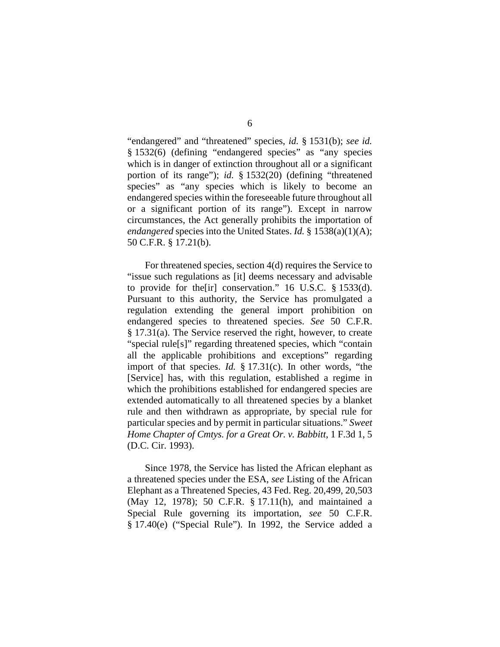"endangered" and "threatened" species, *id.* § 1531(b); *see id.* § 1532(6) (defining "endangered species" as "any species which is in danger of extinction throughout all or a significant portion of its range"); *id.* § 1532(20) (defining "threatened species" as "any species which is likely to become an endangered species within the foreseeable future throughout all or a significant portion of its range"). Except in narrow circumstances, the Act generally prohibits the importation of *endangered* species into the United States. *Id.* § 1538(a)(1)(A); 50 C.F.R. § 17.21(b).

For threatened species, section 4(d) requires the Service to "issue such regulations as [it] deems necessary and advisable to provide for the[ir] conservation." 16 U.S.C. § 1533(d). Pursuant to this authority, the Service has promulgated a regulation extending the general import prohibition on endangered species to threatened species. *See* 50 C.F.R. § 17.31(a). The Service reserved the right, however, to create "special rule[s]" regarding threatened species, which "contain all the applicable prohibitions and exceptions" regarding import of that species. *Id.* § 17.31(c). In other words, "the [Service] has, with this regulation, established a regime in which the prohibitions established for endangered species are extended automatically to all threatened species by a blanket rule and then withdrawn as appropriate, by special rule for particular species and by permit in particular situations." *Sweet Home Chapter of Cmtys. for a Great Or. v. Babbitt*, 1 F.3d 1, 5 (D.C. Cir. 1993).

Since 1978, the Service has listed the African elephant as a threatened species under the ESA, *see* Listing of the African Elephant as a Threatened Species, 43 Fed. Reg. 20,499, 20,503 (May 12, 1978); 50 C.F.R. § 17.11(h), and maintained a Special Rule governing its importation, *see* 50 C.F.R. § 17.40(e) ("Special Rule"). In 1992, the Service added a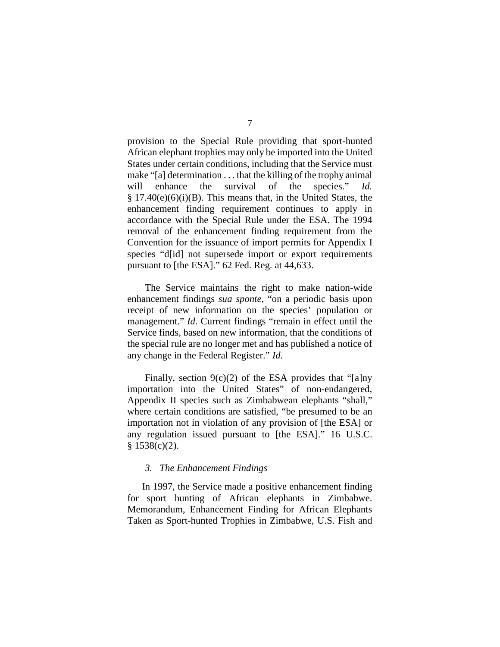provision to the Special Rule providing that sport-hunted African elephant trophies may only be imported into the United States under certain conditions, including that the Service must make "[a] determination . . . that the killing of the trophy animal will enhance the survival of the species." *Id.*  $§ 17.40(e)(6)(i)(B)$ . This means that, in the United States, the enhancement finding requirement continues to apply in accordance with the Special Rule under the ESA. The 1994 removal of the enhancement finding requirement from the Convention for the issuance of import permits for Appendix I species "d[id] not supersede import or export requirements pursuant to [the ESA]." 62 Fed. Reg. at 44,633.

The Service maintains the right to make nation-wide enhancement findings *sua sponte*, "on a periodic basis upon receipt of new information on the species' population or management." *Id*. Current findings "remain in effect until the Service finds, based on new information, that the conditions of the special rule are no longer met and has published a notice of any change in the Federal Register." *Id.*

Finally, section  $9(c)(2)$  of the ESA provides that "[a]ny importation into the United States" of non-endangered, Appendix II species such as Zimbabwean elephants "shall," where certain conditions are satisfied, "be presumed to be an importation not in violation of any provision of [the ESA] or any regulation issued pursuant to [the ESA]." 16 U.S.C. § 1538(c)(2).

### *3. The Enhancement Findings*

In 1997, the Service made a positive enhancement finding for sport hunting of African elephants in Zimbabwe. Memorandum, Enhancement Finding for African Elephants Taken as Sport-hunted Trophies in Zimbabwe, U.S. Fish and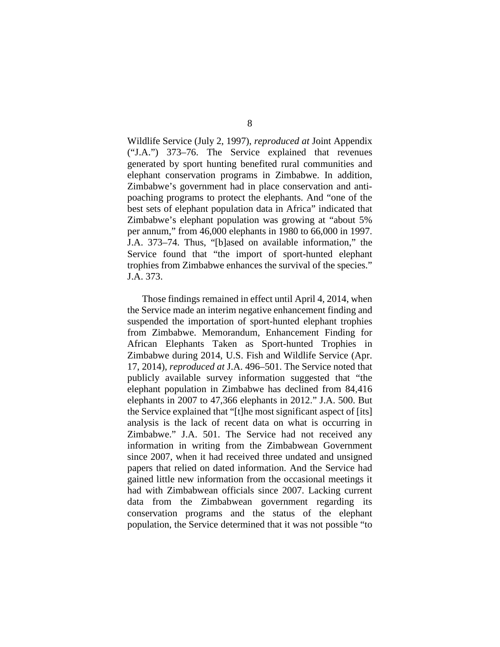Wildlife Service (July 2, 1997), *reproduced at* Joint Appendix ("J.A.") 373–76. The Service explained that revenues generated by sport hunting benefited rural communities and elephant conservation programs in Zimbabwe. In addition, Zimbabwe's government had in place conservation and antipoaching programs to protect the elephants. And "one of the best sets of elephant population data in Africa" indicated that Zimbabwe's elephant population was growing at "about 5% per annum," from 46,000 elephants in 1980 to 66,000 in 1997. J.A. 373–74. Thus, "[b]ased on available information," the Service found that "the import of sport-hunted elephant trophies from Zimbabwe enhances the survival of the species." J.A. 373.

Those findings remained in effect until April 4, 2014, when the Service made an interim negative enhancement finding and suspended the importation of sport-hunted elephant trophies from Zimbabwe. Memorandum, Enhancement Finding for African Elephants Taken as Sport-hunted Trophies in Zimbabwe during 2014, U.S. Fish and Wildlife Service (Apr. 17, 2014), *reproduced at* J.A. 496–501. The Service noted that publicly available survey information suggested that "the elephant population in Zimbabwe has declined from 84,416 elephants in 2007 to 47,366 elephants in 2012." J.A. 500. But the Service explained that "[t]he most significant aspect of [its] analysis is the lack of recent data on what is occurring in Zimbabwe." J.A. 501. The Service had not received any information in writing from the Zimbabwean Government since 2007, when it had received three undated and unsigned papers that relied on dated information. And the Service had gained little new information from the occasional meetings it had with Zimbabwean officials since 2007. Lacking current data from the Zimbabwean government regarding its conservation programs and the status of the elephant population, the Service determined that it was not possible "to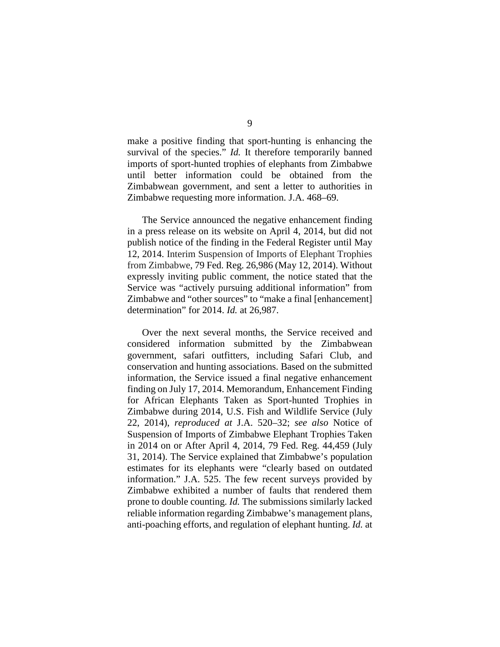make a positive finding that sport-hunting is enhancing the survival of the species." *Id.* It therefore temporarily banned imports of sport-hunted trophies of elephants from Zimbabwe until better information could be obtained from the Zimbabwean government, and sent a letter to authorities in Zimbabwe requesting more information. J.A. 468–69.

The Service announced the negative enhancement finding in a press release on its website on April 4, 2014, but did not publish notice of the finding in the Federal Register until May 12, 2014. Interim Suspension of Imports of Elephant Trophies from Zimbabwe, 79 Fed. Reg. 26,986 (May 12, 2014). Without expressly inviting public comment, the notice stated that the Service was "actively pursuing additional information" from Zimbabwe and "other sources" to "make a final [enhancement] determination" for 2014. *Id.* at 26,987.

Over the next several months, the Service received and considered information submitted by the Zimbabwean government, safari outfitters, including Safari Club, and conservation and hunting associations. Based on the submitted information, the Service issued a final negative enhancement finding on July 17, 2014. Memorandum, Enhancement Finding for African Elephants Taken as Sport-hunted Trophies in Zimbabwe during 2014, U.S. Fish and Wildlife Service (July 22, 2014), *reproduced at* J.A. 520–32; *see also* Notice of Suspension of Imports of Zimbabwe Elephant Trophies Taken in 2014 on or After April 4, 2014, 79 Fed. Reg. 44,459 (July 31, 2014). The Service explained that Zimbabwe's population estimates for its elephants were "clearly based on outdated information." J.A. 525. The few recent surveys provided by Zimbabwe exhibited a number of faults that rendered them prone to double counting. *Id.* The submissions similarly lacked reliable information regarding Zimbabwe's management plans, anti-poaching efforts, and regulation of elephant hunting. *Id.* at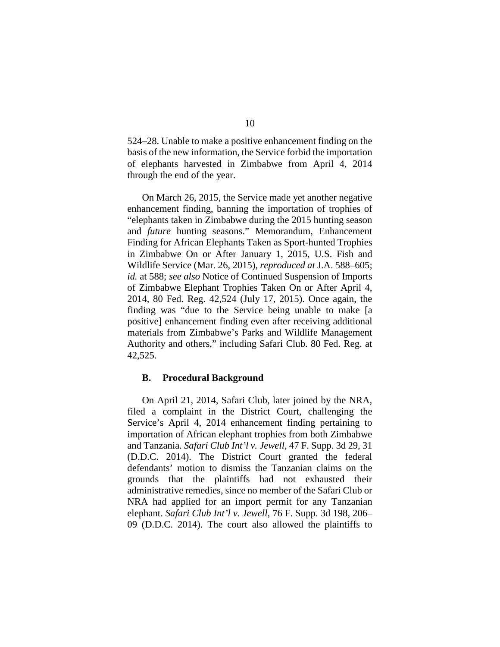524–28. Unable to make a positive enhancement finding on the basis of the new information, the Service forbid the importation of elephants harvested in Zimbabwe from April 4, 2014 through the end of the year.

On March 26, 2015, the Service made yet another negative enhancement finding, banning the importation of trophies of "elephants taken in Zimbabwe during the 2015 hunting season and *future* hunting seasons." Memorandum, Enhancement Finding for African Elephants Taken as Sport-hunted Trophies in Zimbabwe On or After January 1, 2015, U.S. Fish and Wildlife Service (Mar. 26, 2015), *reproduced at* J.A. 588–605; *id.* at 588; *see also* Notice of Continued Suspension of Imports of Zimbabwe Elephant Trophies Taken On or After April 4, 2014, 80 Fed. Reg. 42,524 (July 17, 2015). Once again, the finding was "due to the Service being unable to make [a positive] enhancement finding even after receiving additional materials from Zimbabwe's Parks and Wildlife Management Authority and others," including Safari Club. 80 Fed. Reg. at 42,525.

### **B. Procedural Background**

On April 21, 2014, Safari Club, later joined by the NRA, filed a complaint in the District Court, challenging the Service's April 4, 2014 enhancement finding pertaining to importation of African elephant trophies from both Zimbabwe and Tanzania. *Safari Club Int'l v. Jewell*, 47 F. Supp. 3d 29, 31 (D.D.C. 2014). The District Court granted the federal defendants' motion to dismiss the Tanzanian claims on the grounds that the plaintiffs had not exhausted their administrative remedies, since no member of the Safari Club or NRA had applied for an import permit for any Tanzanian elephant. *Safari Club Int'l v. Jewell*, 76 F. Supp. 3d 198, 206– 09 (D.D.C. 2014). The court also allowed the plaintiffs to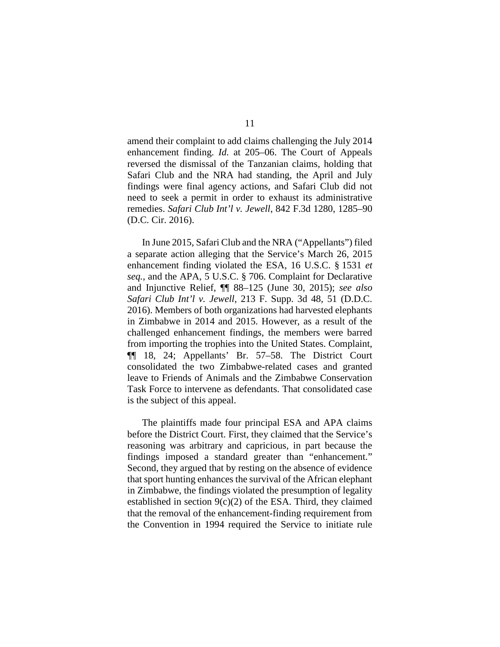amend their complaint to add claims challenging the July 2014 enhancement finding. *Id.* at 205–06. The Court of Appeals reversed the dismissal of the Tanzanian claims, holding that Safari Club and the NRA had standing, the April and July findings were final agency actions, and Safari Club did not need to seek a permit in order to exhaust its administrative remedies. *Safari Club Int'l v. Jewell*, 842 F.3d 1280, 1285–90 (D.C. Cir. 2016).

In June 2015, Safari Club and the NRA ("Appellants") filed a separate action alleging that the Service's March 26, 2015 enhancement finding violated the ESA, 16 U.S.C. § 1531 *et seq.*, and the APA, 5 U.S.C. § 706. Complaint for Declarative and Injunctive Relief, ¶¶ 88–125 (June 30, 2015); *see also Safari Club Int'l v. Jewell*, 213 F. Supp. 3d 48, 51 (D.D.C. 2016). Members of both organizations had harvested elephants in Zimbabwe in 2014 and 2015. However, as a result of the challenged enhancement findings, the members were barred from importing the trophies into the United States. Complaint, ¶¶ 18, 24; Appellants' Br. 57–58. The District Court consolidated the two Zimbabwe-related cases and granted leave to Friends of Animals and the Zimbabwe Conservation Task Force to intervene as defendants. That consolidated case is the subject of this appeal.

The plaintiffs made four principal ESA and APA claims before the District Court. First, they claimed that the Service's reasoning was arbitrary and capricious, in part because the findings imposed a standard greater than "enhancement." Second, they argued that by resting on the absence of evidence that sport hunting enhances the survival of the African elephant in Zimbabwe, the findings violated the presumption of legality established in section  $9(c)(2)$  of the ESA. Third, they claimed that the removal of the enhancement-finding requirement from the Convention in 1994 required the Service to initiate rule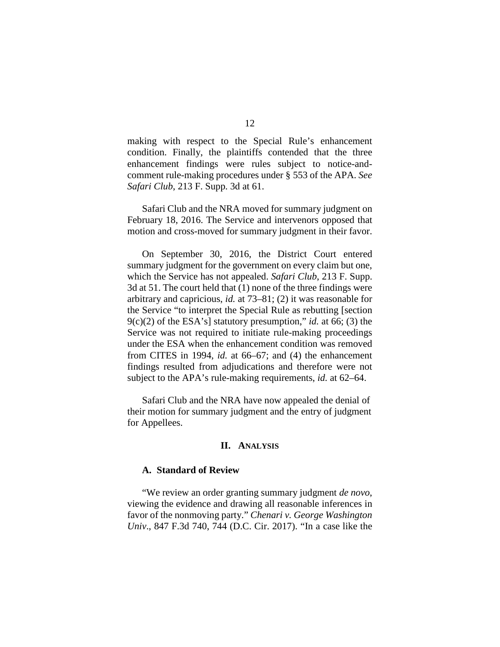making with respect to the Special Rule's enhancement condition. Finally, the plaintiffs contended that the three enhancement findings were rules subject to notice-andcomment rule-making procedures under § 553 of the APA. *See Safari Club*, 213 F. Supp. 3d at 61.

Safari Club and the NRA moved for summary judgment on February 18, 2016. The Service and intervenors opposed that motion and cross-moved for summary judgment in their favor.

On September 30, 2016, the District Court entered summary judgment for the government on every claim but one, which the Service has not appealed. *Safari Club*, 213 F. Supp. 3d at 51. The court held that (1) none of the three findings were arbitrary and capricious, *id.* at 73–81; (2) it was reasonable for the Service "to interpret the Special Rule as rebutting [section  $9(c)(2)$  of the ESA's] statutory presumption," *id.* at 66; (3) the Service was not required to initiate rule-making proceedings under the ESA when the enhancement condition was removed from CITES in 1994, *id.* at 66–67; and (4) the enhancement findings resulted from adjudications and therefore were not subject to the APA's rule-making requirements, *id.* at 62–64.

Safari Club and the NRA have now appealed the denial of their motion for summary judgment and the entry of judgment for Appellees.

#### **II. ANALYSIS**

### **A. Standard of Review**

"We review an order granting summary judgment *de novo*, viewing the evidence and drawing all reasonable inferences in favor of the nonmoving party." *Chenari v. George Washington Univ*., 847 F.3d 740, 744 (D.C. Cir. 2017). "In a case like the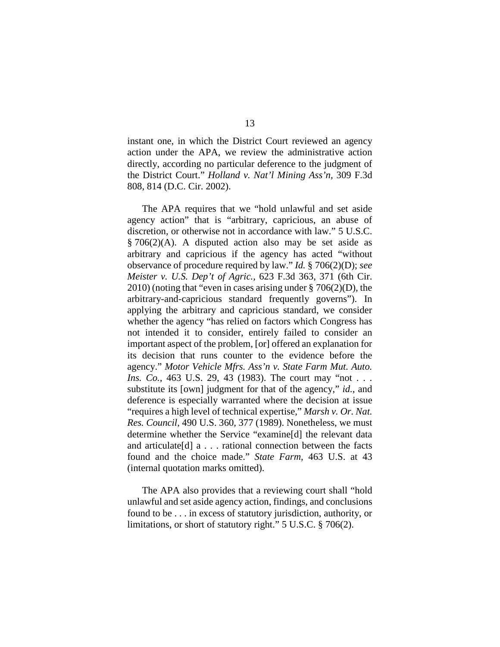instant one, in which the District Court reviewed an agency action under the APA, we review the administrative action directly, according no particular deference to the judgment of the District Court." *Holland v. Nat'l Mining Ass'n,* 309 F.3d 808, 814 (D.C. Cir. 2002).

The APA requires that we "hold unlawful and set aside agency action" that is "arbitrary, capricious, an abuse of discretion, or otherwise not in accordance with law." 5 U.S.C.  $§ 706(2)$ (A). A disputed action also may be set aside as arbitrary and capricious if the agency has acted "without observance of procedure required by law." *Id.* § 706(2)(D); *see Meister v. U.S. Dep't of Agric.*, 623 F.3d 363, 371 (6th Cir.  $2010$ ) (noting that "even in cases arising under § 706(2)(D), the arbitrary-and-capricious standard frequently governs"). In applying the arbitrary and capricious standard, we consider whether the agency "has relied on factors which Congress has not intended it to consider, entirely failed to consider an important aspect of the problem, [or] offered an explanation for its decision that runs counter to the evidence before the agency." *Motor Vehicle Mfrs. Ass'n v. State Farm Mut. Auto. Ins. Co.*, 463 U.S. 29, 43 (1983). The court may "not . . . substitute its [own] judgment for that of the agency," *id.*, and deference is especially warranted where the decision at issue "requires a high level of technical expertise," *Marsh v. Or. Nat. Res. Council*, 490 U.S. 360, 377 (1989). Nonetheless, we must determine whether the Service "examine[d] the relevant data and articulate[d] a . . . rational connection between the facts found and the choice made." *State Farm*, 463 U.S. at 43 (internal quotation marks omitted).

The APA also provides that a reviewing court shall "hold unlawful and set aside agency action, findings, and conclusions found to be . . . in excess of statutory jurisdiction, authority, or limitations, or short of statutory right." 5 U.S.C. § 706(2).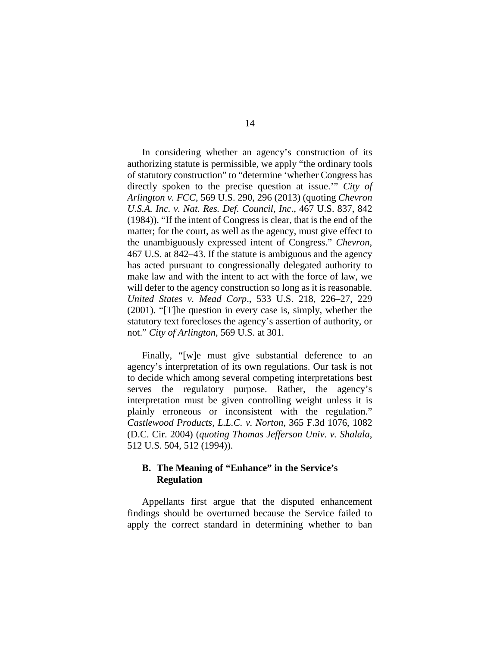In considering whether an agency's construction of its authorizing statute is permissible, we apply "the ordinary tools of statutory construction" to "determine 'whether Congress has directly spoken to the precise question at issue.'" *City of Arlington v. FCC*, 569 U.S. 290, 296 (2013) (quoting *Chevron U.S.A. Inc. v. Nat. Res. Def. Council, Inc*., 467 U.S. 837, 842 (1984)). "If the intent of Congress is clear, that is the end of the matter; for the court, as well as the agency, must give effect to the unambiguously expressed intent of Congress." *Chevron*, 467 U.S. at 842–43. If the statute is ambiguous and the agency has acted pursuant to congressionally delegated authority to make law and with the intent to act with the force of law, we will defer to the agency construction so long as it is reasonable. *United States v. Mead Corp*., 533 U.S. 218, 226–27, 229 (2001). "[T]he question in every case is, simply, whether the statutory text forecloses the agency's assertion of authority, or not." *City of Arlington*, 569 U.S. at 301.

Finally, "[w]e must give substantial deference to an agency's interpretation of its own regulations. Our task is not to decide which among several competing interpretations best serves the regulatory purpose. Rather, the agency's interpretation must be given controlling weight unless it is plainly erroneous or inconsistent with the regulation." *Castlewood Products, L.L.C. v. Norton*, 365 F.3d 1076, 1082 (D.C. Cir. 2004) (*quoting Thomas Jefferson Univ. v. Shalala*, 512 U.S. 504, 512 (1994)).

# **B. The Meaning of "Enhance" in the Service's Regulation**

Appellants first argue that the disputed enhancement findings should be overturned because the Service failed to apply the correct standard in determining whether to ban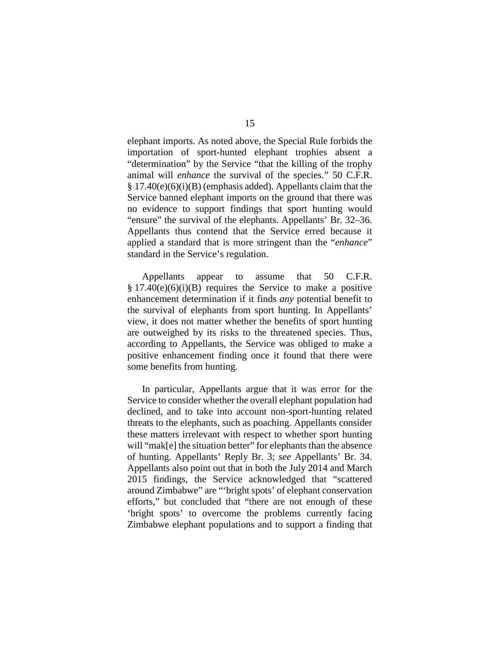elephant imports. As noted above, the Special Rule forbids the importation of sport-hunted elephant trophies absent a "determination" by the Service "that the killing of the trophy animal will *enhance* the survival of the species." 50 C.F.R.  $§ 17.40(e)(6)(i)(B)$  (emphasis added). Appellants claim that the Service banned elephant imports on the ground that there was no evidence to support findings that sport hunting would "ensure" the survival of the elephants. Appellants' Br. 32–36. Appellants thus contend that the Service erred because it applied a standard that is more stringent than the "*enhance*" standard in the Service's regulation.

Appellants appear to assume that 50 C.F.R.  $§ 17.40(e)(6)(i)(B)$  requires the Service to make a positive enhancement determination if it finds *any* potential benefit to the survival of elephants from sport hunting. In Appellants' view, it does not matter whether the benefits of sport hunting are outweighed by its risks to the threatened species. Thus, according to Appellants, the Service was obliged to make a positive enhancement finding once it found that there were some benefits from hunting.

In particular, Appellants argue that it was error for the Service to consider whether the overall elephant population had declined, and to take into account non-sport-hunting related threats to the elephants, such as poaching. Appellants consider these matters irrelevant with respect to whether sport hunting will "mak[e] the situation better" for elephants than the absence of hunting. Appellants' Reply Br. 3; *see* Appellants' Br. 34. Appellants also point out that in both the July 2014 and March 2015 findings, the Service acknowledged that "scattered around Zimbabwe" are "'bright spots' of elephant conservation efforts," but concluded that "there are not enough of these 'bright spots' to overcome the problems currently facing Zimbabwe elephant populations and to support a finding that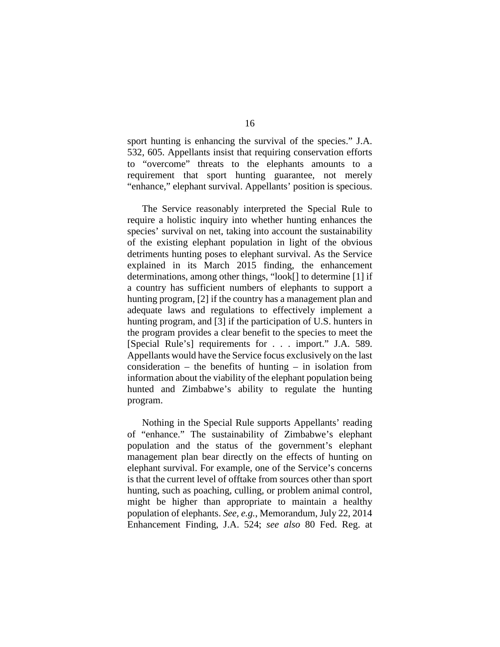sport hunting is enhancing the survival of the species." J.A. 532, 605. Appellants insist that requiring conservation efforts to "overcome" threats to the elephants amounts to a requirement that sport hunting guarantee, not merely "enhance," elephant survival. Appellants' position is specious.

The Service reasonably interpreted the Special Rule to require a holistic inquiry into whether hunting enhances the species' survival on net, taking into account the sustainability of the existing elephant population in light of the obvious detriments hunting poses to elephant survival. As the Service explained in its March 2015 finding, the enhancement determinations, among other things, "look[] to determine [1] if a country has sufficient numbers of elephants to support a hunting program, [2] if the country has a management plan and adequate laws and regulations to effectively implement a hunting program, and [3] if the participation of U.S. hunters in the program provides a clear benefit to the species to meet the [Special Rule's] requirements for . . . import." J.A. 589. Appellants would have the Service focus exclusively on the last consideration – the benefits of hunting – in isolation from information about the viability of the elephant population being hunted and Zimbabwe's ability to regulate the hunting program.

Nothing in the Special Rule supports Appellants' reading of "enhance." The sustainability of Zimbabwe's elephant population and the status of the government's elephant management plan bear directly on the effects of hunting on elephant survival. For example, one of the Service's concerns is that the current level of offtake from sources other than sport hunting, such as poaching, culling, or problem animal control, might be higher than appropriate to maintain a healthy population of elephants. *See, e.g.*, Memorandum, July 22, 2014 Enhancement Finding, J.A. 524; *see also* 80 Fed. Reg. at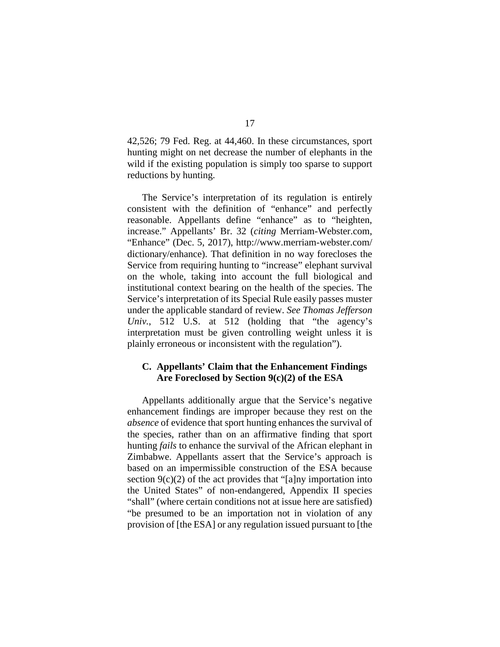42,526; 79 Fed. Reg. at 44,460. In these circumstances, sport hunting might on net decrease the number of elephants in the wild if the existing population is simply too sparse to support reductions by hunting.

The Service's interpretation of its regulation is entirely consistent with the definition of "enhance" and perfectly reasonable. Appellants define "enhance" as to "heighten, increase." Appellants' Br. 32 (*citing* Merriam-Webster.com, "Enhance" (Dec. 5, 2017), http://www.merriam-webster.com/ dictionary/enhance). That definition in no way forecloses the Service from requiring hunting to "increase" elephant survival on the whole, taking into account the full biological and institutional context bearing on the health of the species. The Service's interpretation of its Special Rule easily passes muster under the applicable standard of review. *See Thomas Jefferson Univ.*, 512 U.S. at 512 (holding that "the agency's interpretation must be given controlling weight unless it is plainly erroneous or inconsistent with the regulation").

### **C. Appellants' Claim that the Enhancement Findings Are Foreclosed by Section 9(c)(2) of the ESA**

Appellants additionally argue that the Service's negative enhancement findings are improper because they rest on the *absence* of evidence that sport hunting enhances the survival of the species, rather than on an affirmative finding that sport hunting *fails* to enhance the survival of the African elephant in Zimbabwe. Appellants assert that the Service's approach is based on an impermissible construction of the ESA because section  $9(c)(2)$  of the act provides that "[a]ny importation into the United States" of non-endangered, Appendix II species "shall" (where certain conditions not at issue here are satisfied) "be presumed to be an importation not in violation of any provision of [the ESA] or any regulation issued pursuant to [the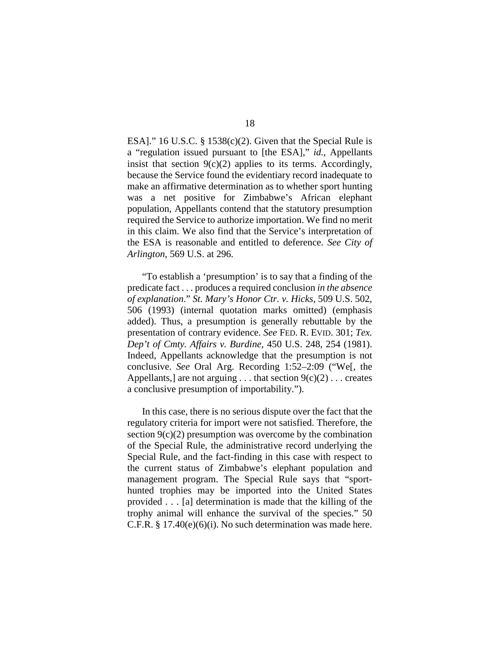ESA]." 16 U.S.C. § 1538 $(c)(2)$ . Given that the Special Rule is a "regulation issued pursuant to [the ESA]," *id.*, Appellants insist that section  $9(c)(2)$  applies to its terms. Accordingly, because the Service found the evidentiary record inadequate to make an affirmative determination as to whether sport hunting was a net positive for Zimbabwe's African elephant population, Appellants contend that the statutory presumption required the Service to authorize importation. We find no merit in this claim. We also find that the Service's interpretation of the ESA is reasonable and entitled to deference. *See City of Arlington*, 569 U.S. at 296.

"To establish a 'presumption' is to say that a finding of the predicate fact . . . produces a required conclusion *in the absence of explanation*." *St. Mary's Honor Ctr. v. Hicks*, 509 U.S. 502, 506 (1993) (internal quotation marks omitted) (emphasis added). Thus, a presumption is generally rebuttable by the presentation of contrary evidence. *See* FED. R. EVID. 301; *Tex. Dep't of Cmty. Affairs v. Burdine*, 450 U.S. 248, 254 (1981). Indeed, Appellants acknowledge that the presumption is not conclusive. *See* Oral Arg. Recording 1:52–2:09 ("We[, the Appellants, are not arguing  $\ldots$  that section  $9(c)(2) \ldots$  creates a conclusive presumption of importability.").

In this case, there is no serious dispute over the fact that the regulatory criteria for import were not satisfied. Therefore, the section  $9(c)(2)$  presumption was overcome by the combination of the Special Rule, the administrative record underlying the Special Rule, and the fact-finding in this case with respect to the current status of Zimbabwe's elephant population and management program. The Special Rule says that "sporthunted trophies may be imported into the United States provided . . . [a] determination is made that the killing of the trophy animal will enhance the survival of the species." 50 C.F.R.  $\S 17.40(e)(6)(i)$ . No such determination was made here.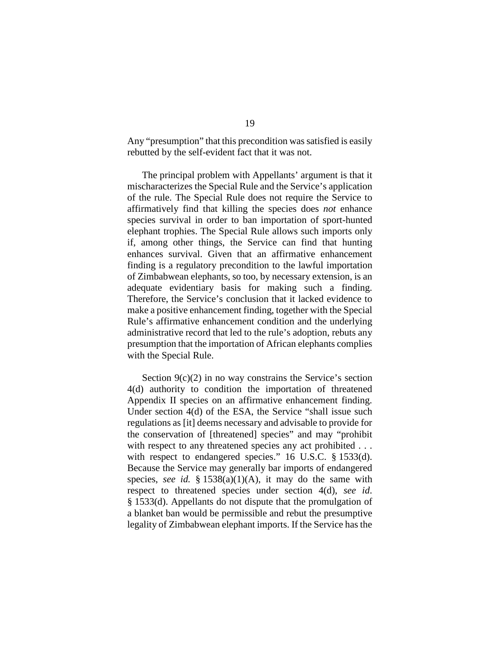Any "presumption" that this precondition was satisfied is easily rebutted by the self-evident fact that it was not.

The principal problem with Appellants' argument is that it mischaracterizes the Special Rule and the Service's application of the rule. The Special Rule does not require the Service to affirmatively find that killing the species does *not* enhance species survival in order to ban importation of sport-hunted elephant trophies. The Special Rule allows such imports only if, among other things, the Service can find that hunting enhances survival. Given that an affirmative enhancement finding is a regulatory precondition to the lawful importation of Zimbabwean elephants, so too, by necessary extension, is an adequate evidentiary basis for making such a finding. Therefore, the Service's conclusion that it lacked evidence to make a positive enhancement finding, together with the Special Rule's affirmative enhancement condition and the underlying administrative record that led to the rule's adoption, rebuts any presumption that the importation of African elephants complies with the Special Rule.

Section  $9(c)(2)$  in no way constrains the Service's section 4(d) authority to condition the importation of threatened Appendix II species on an affirmative enhancement finding. Under section 4(d) of the ESA, the Service "shall issue such regulations as [it] deems necessary and advisable to provide for the conservation of [threatened] species" and may "prohibit with respect to any threatened species any act prohibited . . . with respect to endangered species." 16 U.S.C. § 1533(d). Because the Service may generally bar imports of endangered species, *see id.* §  $1538(a)(1)(A)$ , it may do the same with respect to threatened species under section 4(d), *see id*. § 1533(d). Appellants do not dispute that the promulgation of a blanket ban would be permissible and rebut the presumptive legality of Zimbabwean elephant imports. If the Service has the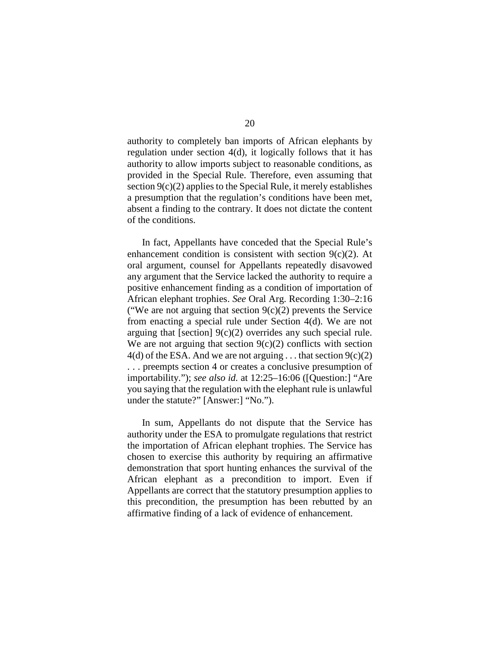authority to completely ban imports of African elephants by regulation under section 4(d), it logically follows that it has authority to allow imports subject to reasonable conditions, as provided in the Special Rule. Therefore, even assuming that section  $9(c)(2)$  applies to the Special Rule, it merely establishes a presumption that the regulation's conditions have been met, absent a finding to the contrary. It does not dictate the content of the conditions.

In fact, Appellants have conceded that the Special Rule's enhancement condition is consistent with section  $9(c)(2)$ . At oral argument, counsel for Appellants repeatedly disavowed any argument that the Service lacked the authority to require a positive enhancement finding as a condition of importation of African elephant trophies. *See* Oral Arg. Recording 1:30–2:16 ("We are not arguing that section  $9(c)(2)$  prevents the Service from enacting a special rule under Section 4(d). We are not arguing that [section] 9(c)(2) overrides any such special rule. We are not arguing that section  $9(c)(2)$  conflicts with section  $4(d)$  of the ESA. And we are not arguing ... that section  $9(c)(2)$ . . . preempts section 4 or creates a conclusive presumption of importability."); *see also id.* at 12:25–16:06 ([Question:] "Are you saying that the regulation with the elephant rule is unlawful under the statute?" [Answer:] "No.").

In sum, Appellants do not dispute that the Service has authority under the ESA to promulgate regulations that restrict the importation of African elephant trophies. The Service has chosen to exercise this authority by requiring an affirmative demonstration that sport hunting enhances the survival of the African elephant as a precondition to import. Even if Appellants are correct that the statutory presumption applies to this precondition, the presumption has been rebutted by an affirmative finding of a lack of evidence of enhancement.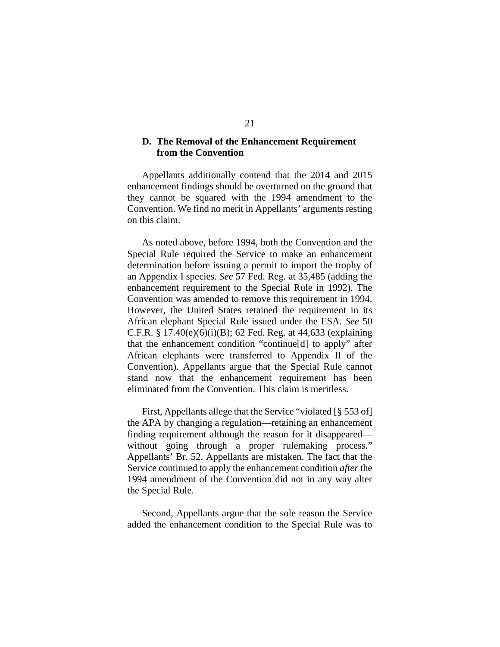### **D. The Removal of the Enhancement Requirement from the Convention**

Appellants additionally contend that the 2014 and 2015 enhancement findings should be overturned on the ground that they cannot be squared with the 1994 amendment to the Convention. We find no merit in Appellants' arguments resting on this claim.

As noted above, before 1994, both the Convention and the Special Rule required the Service to make an enhancement determination before issuing a permit to import the trophy of an Appendix I species. *See* 57 Fed. Reg. at 35,485 (adding the enhancement requirement to the Special Rule in 1992). The Convention was amended to remove this requirement in 1994. However, the United States retained the requirement in its African elephant Special Rule issued under the ESA. *See* 50 C.F.R. § 17.40(e)(6)(i)(B); 62 Fed. Reg. at 44,633 (explaining that the enhancement condition "continue[d] to apply" after African elephants were transferred to Appendix II of the Convention). Appellants argue that the Special Rule cannot stand now that the enhancement requirement has been eliminated from the Convention. This claim is meritless.

First, Appellants allege that the Service "violated [§ 553 of] the APA by changing a regulation—retaining an enhancement finding requirement although the reason for it disappeared without going through a proper rulemaking process." Appellants' Br. 52. Appellants are mistaken. The fact that the Service continued to apply the enhancement condition *after* the 1994 amendment of the Convention did not in any way alter the Special Rule.

Second, Appellants argue that the sole reason the Service added the enhancement condition to the Special Rule was to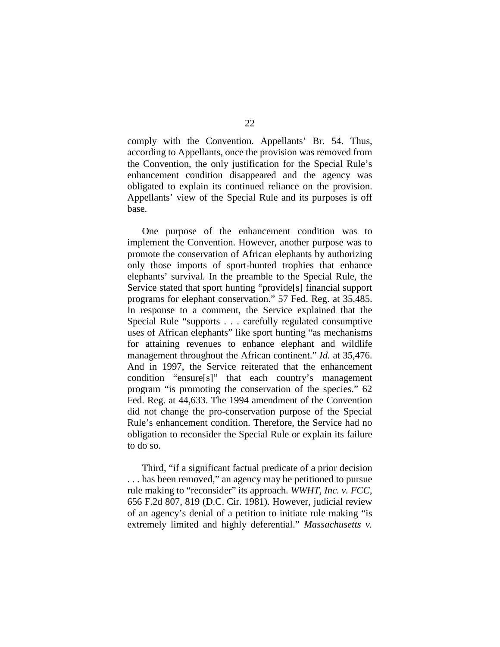comply with the Convention. Appellants' Br. 54. Thus, according to Appellants, once the provision was removed from the Convention, the only justification for the Special Rule's enhancement condition disappeared and the agency was obligated to explain its continued reliance on the provision. Appellants' view of the Special Rule and its purposes is off base.

One purpose of the enhancement condition was to implement the Convention. However, another purpose was to promote the conservation of African elephants by authorizing only those imports of sport-hunted trophies that enhance elephants' survival. In the preamble to the Special Rule, the Service stated that sport hunting "provide[s] financial support programs for elephant conservation." 57 Fed. Reg. at 35,485. In response to a comment, the Service explained that the Special Rule "supports . . . carefully regulated consumptive uses of African elephants" like sport hunting "as mechanisms for attaining revenues to enhance elephant and wildlife management throughout the African continent." *Id.* at 35,476. And in 1997, the Service reiterated that the enhancement condition "ensure[s]" that each country's management program "is promoting the conservation of the species." 62 Fed. Reg. at 44,633. The 1994 amendment of the Convention did not change the pro-conservation purpose of the Special Rule's enhancement condition. Therefore, the Service had no obligation to reconsider the Special Rule or explain its failure to do so.

Third, "if a significant factual predicate of a prior decision . . . has been removed," an agency may be petitioned to pursue rule making to "reconsider" its approach. *WWHT, Inc. v. FCC,* 656 F.2d 807, 819 (D.C. Cir. 1981). However, judicial review of an agency's denial of a petition to initiate rule making "is extremely limited and highly deferential." *Massachusetts v.*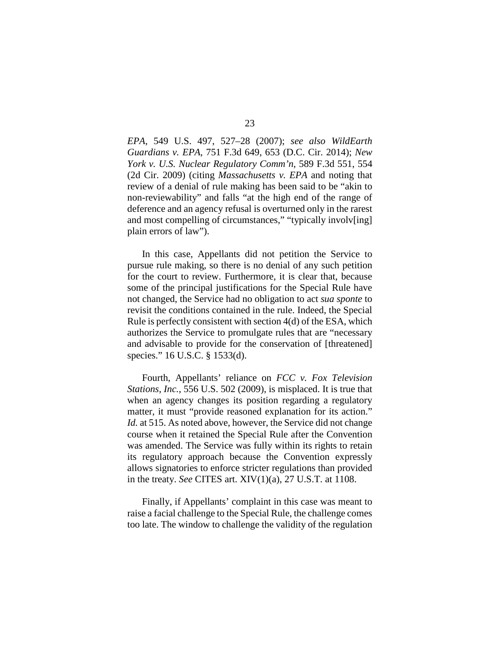*EPA*, 549 U.S. 497, 527–28 (2007); *see also WildEarth Guardians v. EPA*, 751 F.3d 649, 653 (D.C. Cir. 2014); *New York v. U.S. Nuclear Regulatory Comm'n*, 589 F.3d 551, 554 (2d Cir. 2009) (citing *Massachusetts v. EPA* and noting that review of a denial of rule making has been said to be "akin to non-reviewability" and falls "at the high end of the range of deference and an agency refusal is overturned only in the rarest and most compelling of circumstances," "typically involv[ing] plain errors of law").

In this case, Appellants did not petition the Service to pursue rule making, so there is no denial of any such petition for the court to review. Furthermore, it is clear that, because some of the principal justifications for the Special Rule have not changed, the Service had no obligation to act *sua sponte* to revisit the conditions contained in the rule. Indeed, the Special Rule is perfectly consistent with section 4(d) of the ESA, which authorizes the Service to promulgate rules that are "necessary and advisable to provide for the conservation of [threatened] species." 16 U.S.C. § 1533(d).

Fourth, Appellants' reliance on *FCC v. Fox Television Stations, Inc.*, 556 U.S. 502 (2009), is misplaced. It is true that when an agency changes its position regarding a regulatory matter, it must "provide reasoned explanation for its action." *Id.* at 515. As noted above, however, the Service did not change course when it retained the Special Rule after the Convention was amended. The Service was fully within its rights to retain its regulatory approach because the Convention expressly allows signatories to enforce stricter regulations than provided in the treaty. *See* CITES art. XIV(1)(a), 27 U.S.T. at 1108.

Finally, if Appellants' complaint in this case was meant to raise a facial challenge to the Special Rule, the challenge comes too late. The window to challenge the validity of the regulation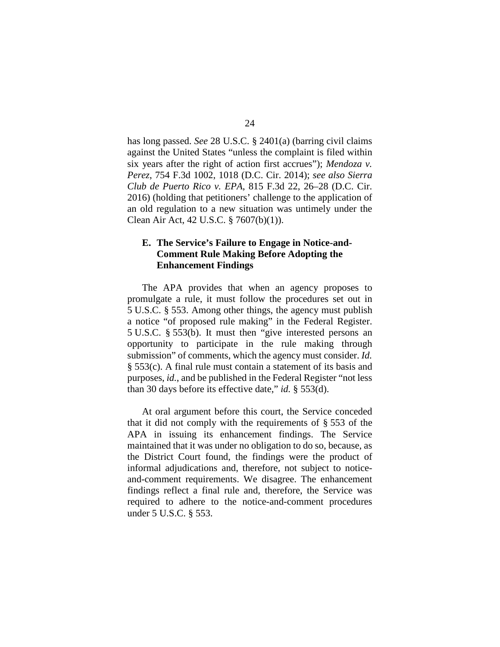has long passed. *See* 28 U.S.C. § 2401(a) (barring civil claims against the United States "unless the complaint is filed within six years after the right of action first accrues"); *Mendoza v. Perez*, 754 F.3d 1002, 1018 (D.C. Cir. 2014); *see also Sierra Club de Puerto Rico v. EPA*, 815 F.3d 22, 26–28 (D.C. Cir. 2016) (holding that petitioners' challenge to the application of an old regulation to a new situation was untimely under the Clean Air Act, 42 U.S.C. § 7607(b)(1)).

# **E. The Service's Failure to Engage in Notice-and-Comment Rule Making Before Adopting the Enhancement Findings**

The APA provides that when an agency proposes to promulgate a rule, it must follow the procedures set out in 5 U.S.C. § 553. Among other things, the agency must publish a notice "of proposed rule making" in the Federal Register. 5 U.S.C. § 553(b). It must then "give interested persons an opportunity to participate in the rule making through submission" of comments, which the agency must consider. *Id.* § 553(c). A final rule must contain a statement of its basis and purposes, *id.*, and be published in the Federal Register "not less than 30 days before its effective date," *id.* § 553(d).

At oral argument before this court, the Service conceded that it did not comply with the requirements of § 553 of the APA in issuing its enhancement findings. The Service maintained that it was under no obligation to do so, because, as the District Court found, the findings were the product of informal adjudications and, therefore, not subject to noticeand-comment requirements. We disagree. The enhancement findings reflect a final rule and, therefore, the Service was required to adhere to the notice-and-comment procedures under 5 U.S.C. § 553.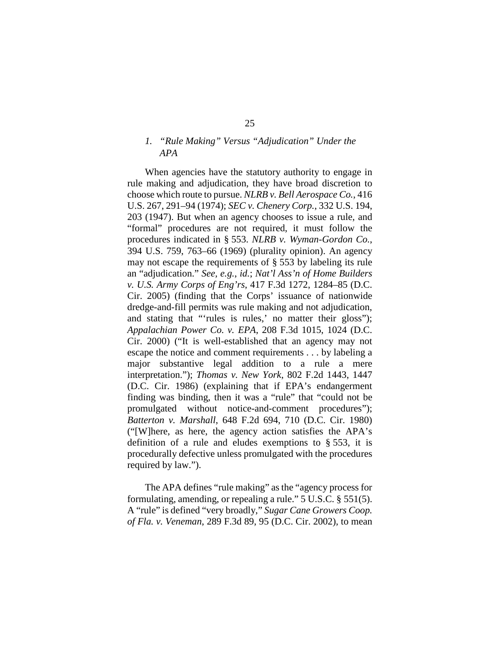# *1. "Rule Making" Versus "Adjudication" Under the APA*

When agencies have the statutory authority to engage in rule making and adjudication, they have broad discretion to choose which route to pursue. *NLRB v. Bell Aerospace Co.*, 416 U.S. 267, 291–94 (1974); *SEC v. Chenery Corp.*, 332 U.S. 194, 203 (1947). But when an agency chooses to issue a rule, and "formal" procedures are not required, it must follow the procedures indicated in § 553. *NLRB v. Wyman-Gordon Co.*, 394 U.S. 759, 763–66 (1969) (plurality opinion). An agency may not escape the requirements of § 553 by labeling its rule an "adjudication." *See, e.g.*, *id.*; *Nat'l Ass'n of Home Builders v. U.S. Army Corps of Eng'rs*, 417 F.3d 1272, 1284–85 (D.C. Cir. 2005) (finding that the Corps' issuance of nationwide dredge-and-fill permits was rule making and not adjudication, and stating that "'rules is rules,' no matter their gloss"); *Appalachian Power Co. v. EPA*, 208 F.3d 1015, 1024 (D.C. Cir. 2000) ("It is well-established that an agency may not escape the notice and comment requirements . . . by labeling a major substantive legal addition to a rule a mere interpretation."); *Thomas v. New York*, 802 F.2d 1443, 1447 (D.C. Cir. 1986) (explaining that if EPA's endangerment finding was binding, then it was a "rule" that "could not be promulgated without notice-and-comment procedures"); *Batterton v. Marshall*, 648 F.2d 694, 710 (D.C. Cir. 1980) ("[W]here, as here, the agency action satisfies the APA's definition of a rule and eludes exemptions to § 553, it is procedurally defective unless promulgated with the procedures required by law.").

The APA defines "rule making" as the "agency process for formulating, amending, or repealing a rule." 5 U.S.C. § 551(5). A "rule" is defined "very broadly," *Sugar Cane Growers Coop. of Fla. v. Veneman*, 289 F.3d 89, 95 (D.C. Cir. 2002), to mean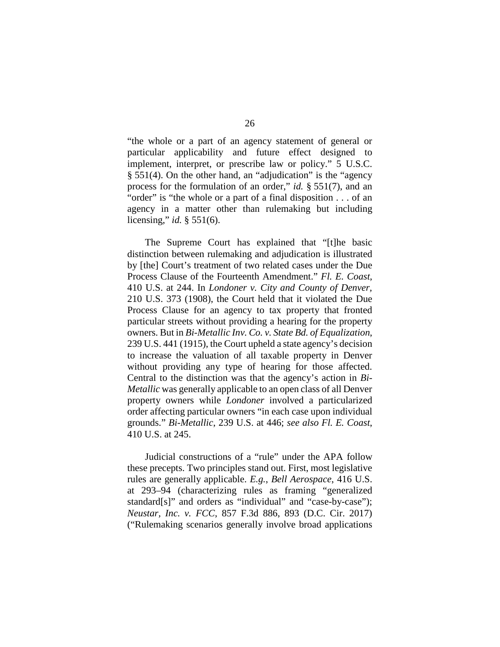"the whole or a part of an agency statement of general or particular applicability and future effect designed to implement, interpret, or prescribe law or policy." 5 U.S.C. § 551(4). On the other hand, an "adjudication" is the "agency process for the formulation of an order," *id.* § 551(7), and an "order" is "the whole or a part of a final disposition . . . of an agency in a matter other than rulemaking but including licensing," *id.* § 551(6).

The Supreme Court has explained that "[t]he basic distinction between rulemaking and adjudication is illustrated by [the] Court's treatment of two related cases under the Due Process Clause of the Fourteenth Amendment." *Fl. E. Coast*, 410 U.S. at 244. In *Londoner v. City and County of Denver,*  210 U.S. 373 (1908), the Court held that it violated the Due Process Clause for an agency to tax property that fronted particular streets without providing a hearing for the property owners. But in *Bi-Metallic Inv. Co. v. State Bd. of Equalization*, 239 U.S. 441 (1915), the Court upheld a state agency's decision to increase the valuation of all taxable property in Denver without providing any type of hearing for those affected. Central to the distinction was that the agency's action in *Bi-Metallic* was generally applicable to an open class of all Denver property owners while *Londoner* involved a particularized order affecting particular owners "in each case upon individual grounds." *Bi-Metallic*, 239 U.S. at 446; *see also Fl. E. Coast*, 410 U.S. at 245.

Judicial constructions of a "rule" under the APA follow these precepts. Two principles stand out. First, most legislative rules are generally applicable. *E.g.*, *Bell Aerospace*, 416 U.S. at 293–94 (characterizing rules as framing "generalized standard[s]" and orders as "individual" and "case-by-case"); *Neustar, Inc. v. FCC*, 857 F.3d 886, 893 (D.C. Cir. 2017) ("Rulemaking scenarios generally involve broad applications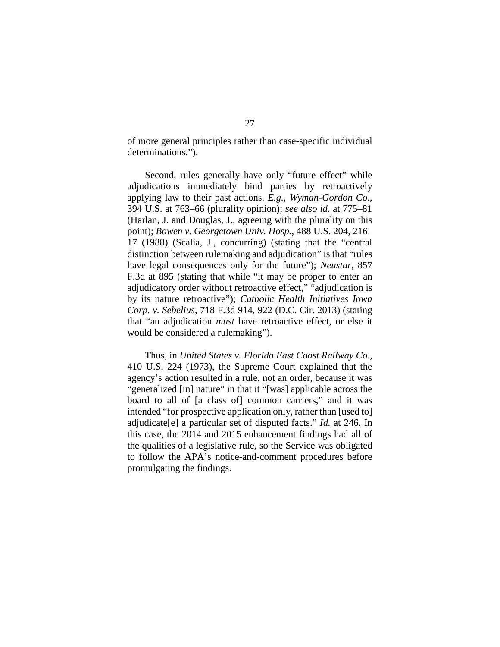of more general principles rather than case-specific individual determinations.").

Second, rules generally have only "future effect" while adjudications immediately bind parties by retroactively applying law to their past actions. *E.g.*, *Wyman-Gordon Co.*, 394 U.S. at 763–66 (plurality opinion); *see also id.* at 775–81 (Harlan, J. and Douglas, J., agreeing with the plurality on this point); *Bowen v. Georgetown Univ. Hosp.*, 488 U.S. 204, 216– 17 (1988) (Scalia, J., concurring) (stating that the "central distinction between rulemaking and adjudication" is that "rules have legal consequences only for the future"); *Neustar*, 857 F.3d at 895 (stating that while "it may be proper to enter an adjudicatory order without retroactive effect," "adjudication is by its nature retroactive"); *Catholic Health Initiatives Iowa Corp. v. Sebelius*, 718 F.3d 914, 922 (D.C. Cir. 2013) (stating that "an adjudication *must* have retroactive effect, or else it would be considered a rulemaking").

Thus, in *United States v. Florida East Coast Railway Co.*, 410 U.S. 224 (1973), the Supreme Court explained that the agency's action resulted in a rule, not an order, because it was "generalized [in] nature" in that it "[was] applicable across the board to all of [a class of] common carriers," and it was intended "for prospective application only, rather than [used to] adjudicate[e] a particular set of disputed facts." *Id.* at 246. In this case, the 2014 and 2015 enhancement findings had all of the qualities of a legislative rule, so the Service was obligated to follow the APA's notice-and-comment procedures before promulgating the findings.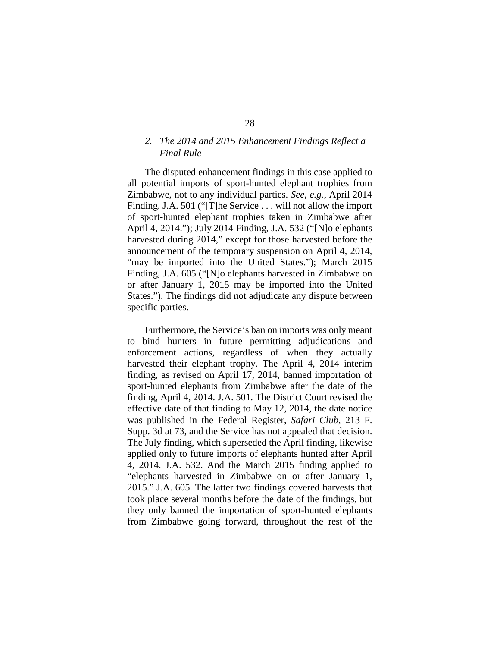# *2. The 2014 and 2015 Enhancement Findings Reflect a Final Rule*

The disputed enhancement findings in this case applied to all potential imports of sport-hunted elephant trophies from Zimbabwe, not to any individual parties. *See, e.g.*, April 2014 Finding, J.A. 501 ("[T]he Service . . . will not allow the import of sport-hunted elephant trophies taken in Zimbabwe after April 4, 2014."); July 2014 Finding, J.A. 532 ("[N]o elephants harvested during 2014," except for those harvested before the announcement of the temporary suspension on April 4, 2014, "may be imported into the United States."); March 2015 Finding, J.A. 605 ("[N]o elephants harvested in Zimbabwe on or after January 1, 2015 may be imported into the United States."). The findings did not adjudicate any dispute between specific parties.

Furthermore, the Service's ban on imports was only meant to bind hunters in future permitting adjudications and enforcement actions, regardless of when they actually harvested their elephant trophy. The April 4, 2014 interim finding, as revised on April 17, 2014, banned importation of sport-hunted elephants from Zimbabwe after the date of the finding, April 4, 2014. J.A. 501. The District Court revised the effective date of that finding to May 12, 2014, the date notice was published in the Federal Register, *Safari Club*, 213 F. Supp. 3d at 73, and the Service has not appealed that decision. The July finding, which superseded the April finding, likewise applied only to future imports of elephants hunted after April 4, 2014. J.A. 532. And the March 2015 finding applied to "elephants harvested in Zimbabwe on or after January 1, 2015." J.A. 605. The latter two findings covered harvests that took place several months before the date of the findings, but they only banned the importation of sport-hunted elephants from Zimbabwe going forward, throughout the rest of the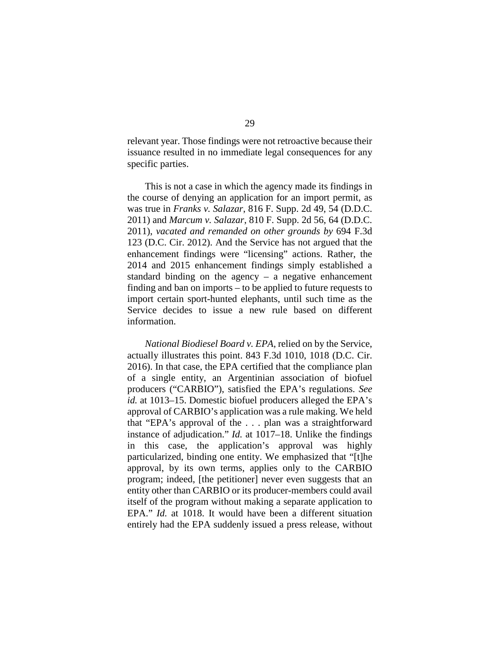relevant year. Those findings were not retroactive because their issuance resulted in no immediate legal consequences for any specific parties.

This is not a case in which the agency made its findings in the course of denying an application for an import permit, as was true in *Franks v. Salazar*, 816 F. Supp. 2d 49, 54 (D.D.C. 2011) and *Marcum v. Salazar*, 810 F. Supp. 2d 56, 64 (D.D.C. 2011), *vacated and remanded on other grounds by* 694 F.3d 123 (D.C. Cir. 2012). And the Service has not argued that the enhancement findings were "licensing" actions. Rather, the 2014 and 2015 enhancement findings simply established a standard binding on the agency  $-$  a negative enhancement finding and ban on imports – to be applied to future requests to import certain sport-hunted elephants, until such time as the Service decides to issue a new rule based on different information.

*National Biodiesel Board v. EPA*, relied on by the Service, actually illustrates this point. 843 F.3d 1010, 1018 (D.C. Cir. 2016). In that case, the EPA certified that the compliance plan of a single entity, an Argentinian association of biofuel producers ("CARBIO"), satisfied the EPA's regulations. *See id.* at 1013–15. Domestic biofuel producers alleged the EPA's approval of CARBIO's application was a rule making. We held that "EPA's approval of the . . . plan was a straightforward instance of adjudication." *Id.* at 1017–18. Unlike the findings in this case, the application's approval was highly particularized, binding one entity. We emphasized that "[t]he approval, by its own terms, applies only to the CARBIO program; indeed, [the petitioner] never even suggests that an entity other than CARBIO or its producer-members could avail itself of the program without making a separate application to EPA." *Id.* at 1018. It would have been a different situation entirely had the EPA suddenly issued a press release, without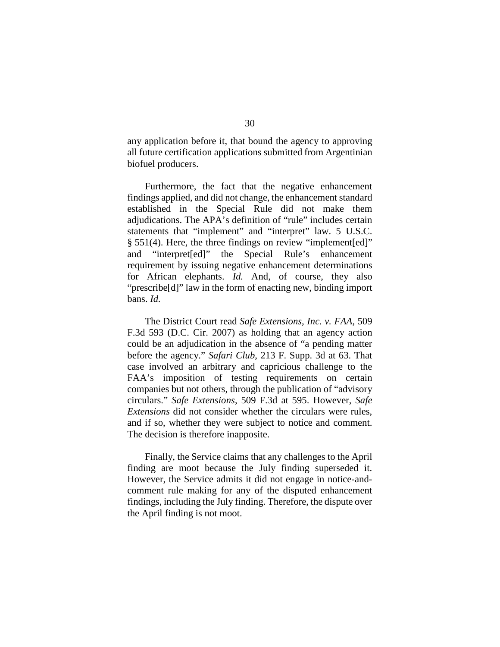any application before it, that bound the agency to approving all future certification applications submitted from Argentinian biofuel producers.

Furthermore, the fact that the negative enhancement findings applied, and did not change, the enhancement standard established in the Special Rule did not make them adjudications. The APA's definition of "rule" includes certain statements that "implement" and "interpret" law. 5 U.S.C. § 551(4). Here, the three findings on review "implement[ed]" and "interpret[ed]" the Special Rule's enhancement requirement by issuing negative enhancement determinations for African elephants. *Id.* And, of course, they also "prescribe[d]" law in the form of enacting new, binding import bans. *Id.*

The District Court read *Safe Extensions, Inc. v. FAA*, 509 F.3d 593 (D.C. Cir. 2007) as holding that an agency action could be an adjudication in the absence of "a pending matter before the agency." *Safari Club*, 213 F. Supp. 3d at 63. That case involved an arbitrary and capricious challenge to the FAA's imposition of testing requirements on certain companies but not others, through the publication of "advisory circulars." *Safe Extensions*, 509 F.3d at 595. However, *Safe Extensions* did not consider whether the circulars were rules, and if so, whether they were subject to notice and comment. The decision is therefore inapposite.

Finally, the Service claims that any challenges to the April finding are moot because the July finding superseded it. However, the Service admits it did not engage in notice-andcomment rule making for any of the disputed enhancement findings, including the July finding. Therefore, the dispute over the April finding is not moot.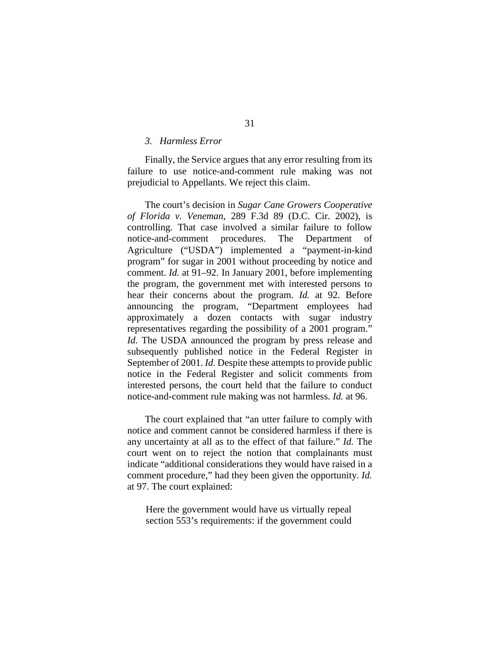### *3. Harmless Error*

Finally, the Service argues that any error resulting from its failure to use notice-and-comment rule making was not prejudicial to Appellants. We reject this claim.

The court's decision in *Sugar Cane Growers Cooperative of Florida v. Veneman*, 289 F.3d 89 (D.C. Cir. 2002), is controlling. That case involved a similar failure to follow notice-and-comment procedures. The Department of Agriculture ("USDA") implemented a "payment-in-kind program" for sugar in 2001 without proceeding by notice and comment. *Id.* at 91–92. In January 2001, before implementing the program, the government met with interested persons to hear their concerns about the program. *Id.* at 92. Before announcing the program, "Department employees had approximately a dozen contacts with sugar industry representatives regarding the possibility of a 2001 program." *Id.* The USDA announced the program by press release and subsequently published notice in the Federal Register in September of 2001. *Id.* Despite these attempts to provide public notice in the Federal Register and solicit comments from interested persons, the court held that the failure to conduct notice-and-comment rule making was not harmless. *Id.* at 96.

The court explained that "an utter failure to comply with notice and comment cannot be considered harmless if there is any uncertainty at all as to the effect of that failure." *Id.* The court went on to reject the notion that complainants must indicate "additional considerations they would have raised in a comment procedure," had they been given the opportunity. *Id.* at 97. The court explained:

Here the government would have us virtually repeal section 553's requirements: if the government could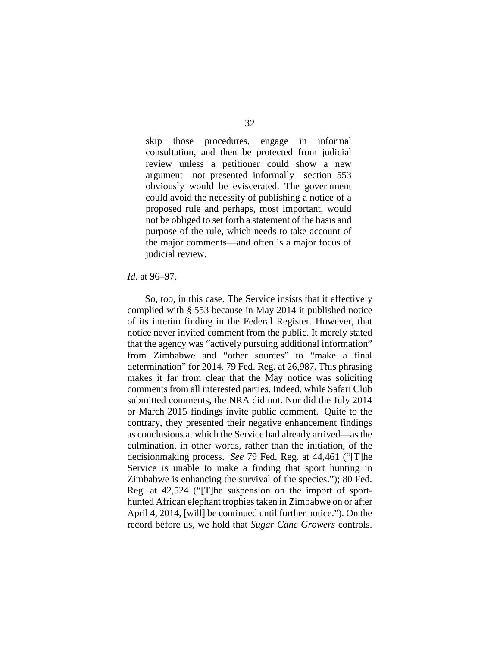skip those procedures, engage in informal consultation, and then be protected from judicial review unless a petitioner could show a new argument—not presented informally—section 553 obviously would be eviscerated. The government could avoid the necessity of publishing a notice of a proposed rule and perhaps, most important, would not be obliged to set forth a statement of the basis and purpose of the rule, which needs to take account of the major comments—and often is a major focus of judicial review.

#### *Id.* at 96–97.

So, too, in this case. The Service insists that it effectively complied with § 553 because in May 2014 it published notice of its interim finding in the Federal Register. However, that notice never invited comment from the public. It merely stated that the agency was "actively pursuing additional information" from Zimbabwe and "other sources" to "make a final determination" for 2014. 79 Fed. Reg. at 26,987. This phrasing makes it far from clear that the May notice was soliciting comments from all interested parties. Indeed, while Safari Club submitted comments, the NRA did not. Nor did the July 2014 or March 2015 findings invite public comment. Quite to the contrary, they presented their negative enhancement findings as conclusions at which the Service had already arrived—as the culmination, in other words, rather than the initiation, of the decisionmaking process. *See* 79 Fed. Reg. at 44,461 ("[T]he Service is unable to make a finding that sport hunting in Zimbabwe is enhancing the survival of the species."); 80 Fed. Reg. at 42,524 ("[T]he suspension on the import of sporthunted African elephant trophies taken in Zimbabwe on or after April 4, 2014, [will] be continued until further notice."). On the record before us, we hold that *Sugar Cane Growers* controls.